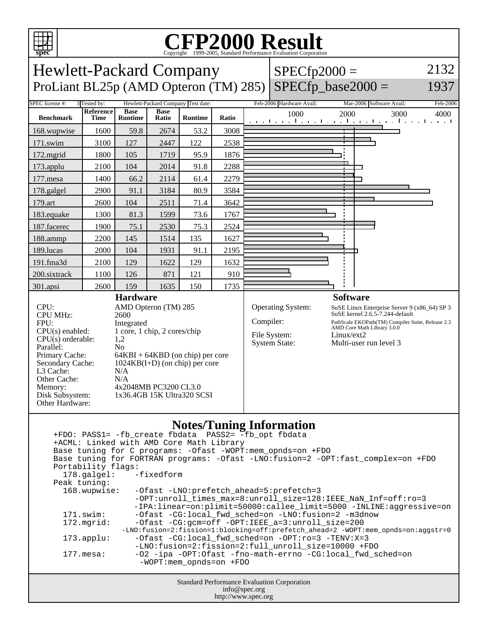

## C<sub>opyright</sub> ©1999-2005, Standard Performance Evaluation Corporation

Hewlett-Packard Company ProLiant BL25p (AMD Opteron (TM) 285)  $SPECfp2000 =$  2132

## $SPECfp\_base2000 =$

1937

| ProLiant $D\text{L23p}$ (ANID Opteron (TNI) 283) [SPECTD_0ase2000 –<br>1997                                                                                                                                                                                                                                                                                                                                                                                                                                                                                                                                                                                                                                   |                                                    |                               |                      |                |           |                                                           |                                                                |                                                                                                                                                                                               |  |          |      |
|---------------------------------------------------------------------------------------------------------------------------------------------------------------------------------------------------------------------------------------------------------------------------------------------------------------------------------------------------------------------------------------------------------------------------------------------------------------------------------------------------------------------------------------------------------------------------------------------------------------------------------------------------------------------------------------------------------------|----------------------------------------------------|-------------------------------|----------------------|----------------|-----------|-----------------------------------------------------------|----------------------------------------------------------------|-----------------------------------------------------------------------------------------------------------------------------------------------------------------------------------------------|--|----------|------|
| SPEC license #:                                                                                                                                                                                                                                                                                                                                                                                                                                                                                                                                                                                                                                                                                               | Hewlett-Packard Company Test date:<br>3 Tested by: |                               |                      |                |           | Feb-2006 Hardware Avail:                                  |                                                                | Mar-2006 Software Avail:                                                                                                                                                                      |  | Feb-2006 |      |
| <b>Benchmark</b>                                                                                                                                                                                                                                                                                                                                                                                                                                                                                                                                                                                                                                                                                              | Reference<br><b>Time</b>                           | <b>Base</b><br><b>Runtime</b> | <b>Base</b><br>Ratio | <b>Runtime</b> | Ratio     |                                                           | 1000<br>المتعملة وبالمتعمل والمتعمل والمتعمل والمتعمل والمتعمل | 2000                                                                                                                                                                                          |  | 3000     | 4000 |
| 168.wupwise                                                                                                                                                                                                                                                                                                                                                                                                                                                                                                                                                                                                                                                                                                   | 1600                                               | 59.8                          | 2674                 | 53.2           | 3008      |                                                           |                                                                |                                                                                                                                                                                               |  |          |      |
| 171.swim                                                                                                                                                                                                                                                                                                                                                                                                                                                                                                                                                                                                                                                                                                      | 3100                                               | 127                           | 2447                 | 122            | 2538      |                                                           |                                                                |                                                                                                                                                                                               |  |          |      |
| 172.mgrid                                                                                                                                                                                                                                                                                                                                                                                                                                                                                                                                                                                                                                                                                                     | 1800                                               | 105                           | 1719                 | 95.9           | 1876      |                                                           |                                                                |                                                                                                                                                                                               |  |          |      |
| 173.applu                                                                                                                                                                                                                                                                                                                                                                                                                                                                                                                                                                                                                                                                                                     | 2100                                               | 104                           | 2014                 | 91.8           | 2288      |                                                           |                                                                |                                                                                                                                                                                               |  |          |      |
| 177.mesa                                                                                                                                                                                                                                                                                                                                                                                                                                                                                                                                                                                                                                                                                                      | 1400                                               | 66.2                          | 2114                 | 61.4           | 2279      |                                                           |                                                                |                                                                                                                                                                                               |  |          |      |
| 178.galgel                                                                                                                                                                                                                                                                                                                                                                                                                                                                                                                                                                                                                                                                                                    | 2900                                               | 91.1                          | 3184                 | 80.9           | 3584      |                                                           |                                                                |                                                                                                                                                                                               |  |          |      |
| 179.art                                                                                                                                                                                                                                                                                                                                                                                                                                                                                                                                                                                                                                                                                                       | 2600                                               | 104                           | 2511                 | 71.4           | 3642      |                                                           |                                                                |                                                                                                                                                                                               |  |          |      |
| 183.equake                                                                                                                                                                                                                                                                                                                                                                                                                                                                                                                                                                                                                                                                                                    | 1300                                               | 81.3                          | 1599                 | 73.6           | 1767      |                                                           |                                                                |                                                                                                                                                                                               |  |          |      |
| 187.facerec                                                                                                                                                                                                                                                                                                                                                                                                                                                                                                                                                                                                                                                                                                   | 1900                                               | 75.1                          | 2530                 | 75.3           | 2524      |                                                           |                                                                |                                                                                                                                                                                               |  |          |      |
| 188.ammp                                                                                                                                                                                                                                                                                                                                                                                                                                                                                                                                                                                                                                                                                                      | 2200                                               | 145                           | 1514                 | 135            | 1627      |                                                           |                                                                |                                                                                                                                                                                               |  |          |      |
| 189.lucas                                                                                                                                                                                                                                                                                                                                                                                                                                                                                                                                                                                                                                                                                                     | 2000                                               | 104                           | 1931                 | 91.1           | 2195      |                                                           |                                                                |                                                                                                                                                                                               |  |          |      |
| 191.fma3d                                                                                                                                                                                                                                                                                                                                                                                                                                                                                                                                                                                                                                                                                                     | 2100                                               | 129                           | 1622                 | 129            | 1632      |                                                           |                                                                |                                                                                                                                                                                               |  |          |      |
| 200.sixtrack                                                                                                                                                                                                                                                                                                                                                                                                                                                                                                                                                                                                                                                                                                  | 1100                                               | 126                           | 871                  | 121            | 910       |                                                           |                                                                |                                                                                                                                                                                               |  |          |      |
| 301.apsi                                                                                                                                                                                                                                                                                                                                                                                                                                                                                                                                                                                                                                                                                                      | 2600                                               | 159                           | 1635                 | 150            | 1735      |                                                           |                                                                |                                                                                                                                                                                               |  |          |      |
| <b>Hardware</b><br>CPU:<br>AMD Opteron (TM) 285<br><b>CPU MHz:</b><br>2600<br>FPU:<br>Integrated<br>1 core, 1 chip, 2 cores/chip<br>$CPU(s)$ enabled:<br>$CPU(s)$ orderable:<br>1,2<br>Parallel:<br>N <sub>o</sub><br>Primary Cache:<br>$64KBI + 64KBD$ (on chip) per core<br>Secondary Cache:<br>$1024KB(I+D)$ (on chip) per core<br>L3 Cache:<br>N/A<br>Other Cache:<br>N/A<br>4x2048MB PC3200 CL3.0<br>Memory:<br>1x36.4GB 15K Ultra320 SCSI<br>Disk Subsystem:<br>Other Hardware:                                                                                                                                                                                                                         |                                                    |                               |                      |                | Compiler: | Operating System:<br>File System:<br><b>System State:</b> | <b>Software</b><br>Linux/ext2                                  | SuSE Linux Enterprise Server 9 (x86_64) SP 3<br>SuSE kernel 2.6.5-7.244-default<br>PathScale EKOPath(TM) Compiler Suite, Release 2.3<br>AMD Core Math Library 3.0.0<br>Multi-user run level 3 |  |          |      |
| <b>Notes/Tuning Information</b><br>+FDO: PASS1= -fb_create fbdata PASS2= -fb_opt fbdata<br>+ACML: Linked with AMD Core Math Library<br>Base tuning for C programs: - Ofast - WOPT: mem_opnds=on + FDO<br>Base tuning for FORTRAN programs: - Ofast -LNO: fusion=2 -OPT: fast_complex=on +FDO<br>Portability flags:<br>-fixedform<br>178.galgel:<br>Peak tuning:<br>168.wupwise:<br>-Ofast -LNO: prefetch ahead=5: prefetch=3<br>-OPT:unroll_times_max=8:unroll_size=128:IEEE_NaN_Inf=off:ro=3<br>-IPA:linear=on:plimit=50000:callee_limit=5000 -INLINE:aggressive=on<br>-Ofast -CG:local_fwd_sched=on -LNO:fusion=2 -m3dnow<br>171.swim:<br>172.mgrid:<br>-Ofast -CG: qcm=off -OPT: IEEE a=3: unroll size=200 |                                                    |                               |                      |                |           |                                                           |                                                                |                                                                                                                                                                                               |  |          |      |

- -LNO:fusion=2:fission=1:blocking=off:prefetch\_ahead=2 -WOPT:mem\_opnds=on:aggstr=0 173.applu: -Ofast -CG:local\_fwd\_sched=on -OPT:ro=3 -TENV:X=3
	-
	- -LNO:fusion=2:fission=2:full\_unroll\_size=10000 +FDO<br>ditrib.org/indias-02-ipa -0PT:Ofast -fno-math-errno -CG:local fwd s -02 -ipa -OPT:Ofast -fno-math-errno -CG:local\_fwd\_sched=on -WOPT:mem\_opnds=on +FDO

Standard Performance Evaluation Corporation info@spec.org

http://www.spec.org